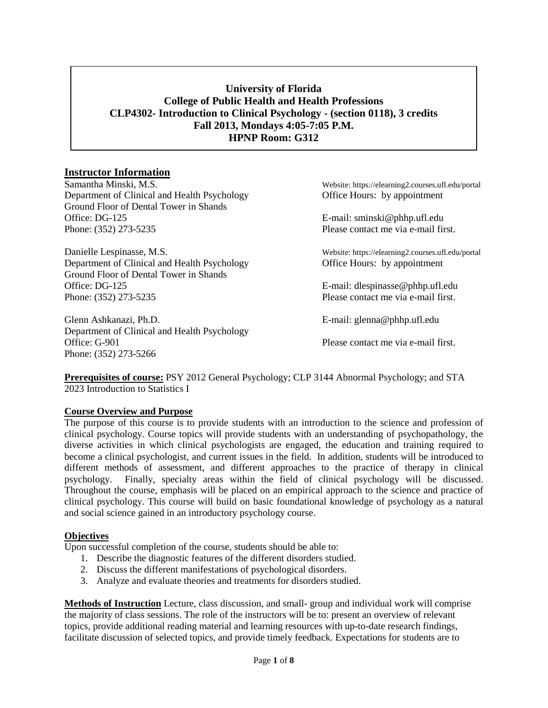# **University of Florida College of Public Health and Health Professions CLP4302- Introduction to Clinical Psychology - (section 0118), 3 credits Fall 2013, Mondays 4:05-7:05 P.M. HPNP Room: G312**

#### **Instructor Information**

Samantha Minski, M.S. Website: https://elearning2.courses.ufl.edu/portal Department of Clinical and Health Psychology Office Hours: by appointment Ground Floor of Dental Tower in Shands Office: DG-125 E-mail: sminski@phhp.ufl.edu Phone: (352) 273-5235 Please contact me via e-mail first.

Danielle Lespinasse, M.S. Website: https://elearning2.courses.ufl.edu/portal Department of Clinical and Health Psychology Office Hours: by appointment Ground Floor of Dental Tower in Shands Office: DG-125 **E-mail:** dlespinasse @phhp.ufl.edu Phone: (352) 273-5235 Please contact me via e-mail first.

Glenn Ashkanazi, Ph.D. E-mail: glenna@phhp.ufl.edu Department of Clinical and Health Psychology Office: G-901 Please contact me via e-mail first. Phone: (352) 273-5266

**Prerequisites of course:** PSY 2012 General Psychology; CLP 3144 Abnormal Psychology; and STA 2023 Introduction to Statistics I

#### **Course Overview and Purpose**

The purpose of this course is to provide students with an introduction to the science and profession of clinical psychology. Course topics will provide students with an understanding of psychopathology, the diverse activities in which clinical psychologists are engaged, the education and training required to become a clinical psychologist, and current issues in the field. In addition, students will be introduced to different methods of assessment, and different approaches to the practice of therapy in clinical psychology. Finally, specialty areas within the field of clinical psychology will be discussed. Throughout the course, emphasis will be placed on an empirical approach to the science and practice of clinical psychology. This course will build on basic foundational knowledge of psychology as a natural and social science gained in an introductory psychology course.

#### **Objectives**

Upon successful completion of the course, students should be able to:

- 1. Describe the diagnostic features of the different disorders studied.
- 2. Discuss the different manifestations of psychological disorders.
- 3. Analyze and evaluate theories and treatments for disorders studied.

**Methods of Instruction** Lecture, class discussion, and small- group and individual work will comprise the majority of class sessions. The role of the instructors will be to: present an overview of relevant topics, provide additional reading material and learning resources with up-to-date research findings, facilitate discussion of selected topics, and provide timely feedback. Expectations for students are to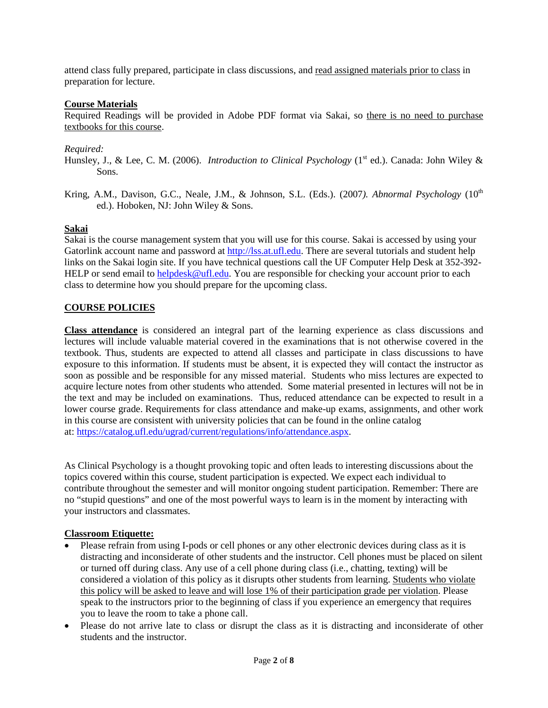attend class fully prepared, participate in class discussions, and read assigned materials prior to class in preparation for lecture.

## **Course Materials**

Required Readings will be provided in Adobe PDF format via Sakai, so there is no need to purchase textbooks for this course.

# *Required:*

- Hunsley, J., & Lee, C. M. (2006). *Introduction to Clinical Psychology* (1<sup>st</sup> ed.). Canada: John Wiley & Sons.
- Kring, A.M., Davison, G.C., Neale, J.M., & Johnson, S.L. (Eds.). (2007). Abnormal Psychology (10<sup>th</sup> ed.). Hoboken, NJ: John Wiley & Sons.

## **Sakai**

Sakai is the course management system that you will use for this course. Sakai is accessed by using your Gatorlink account name and password at [http://lss.at.ufl.edu.](http://lss.at.ufl.edu/) There are several tutorials and student help links on the Sakai login site. If you have technical questions call the UF Computer Help Desk at 352-392 HELP or send email to [helpdesk@ufl.edu.](mailto:helpdesk@ufl.edu) You are responsible for checking your account prior to each class to determine how you should prepare for the upcoming class.

## **COURSE POLICIES**

**Class attendance** is considered an integral part of the learning experience as class discussions and lectures will include valuable material covered in the examinations that is not otherwise covered in the textbook. Thus, students are expected to attend all classes and participate in class discussions to have exposure to this information. If students must be absent, it is expected they will contact the instructor as soon as possible and be responsible for any missed material. Students who miss lectures are expected to acquire lecture notes from other students who attended. Some material presented in lectures will not be in the text and may be included on examinations. Thus, reduced attendance can be expected to result in a lower course grade. Requirements for class attendance and make-up exams, assignments, and other work in this course are consistent with university policies that can be found in the online catalog at[: https://catalog.ufl.edu/ugrad/current/regulations/info/attendance.aspx.](https://catalog.ufl.edu/ugrad/current/regulations/info/attendance.aspx)

As Clinical Psychology is a thought provoking topic and often leads to interesting discussions about the topics covered within this course, student participation is expected. We expect each individual to contribute throughout the semester and will monitor ongoing student participation. Remember: There are no "stupid questions" and one of the most powerful ways to learn is in the moment by interacting with your instructors and classmates.

## **Classroom Etiquette:**

- Please refrain from using I-pods or cell phones or any other electronic devices during class as it is distracting and inconsiderate of other students and the instructor. Cell phones must be placed on silent or turned off during class. Any use of a cell phone during class (i.e., chatting, texting) will be considered a violation of this policy as it disrupts other students from learning. Students who violate this policy will be asked to leave and will lose 1% of their participation grade per violation. Please speak to the instructors prior to the beginning of class if you experience an emergency that requires you to leave the room to take a phone call.
- Please do not arrive late to class or disrupt the class as it is distracting and inconsiderate of other students and the instructor.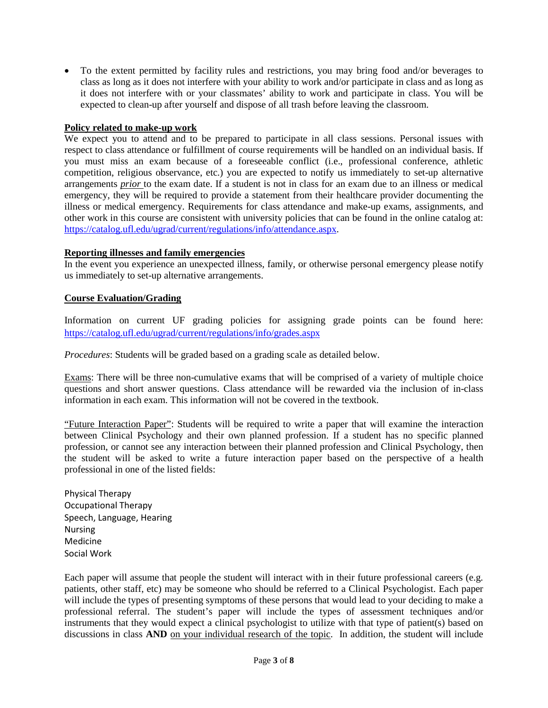• To the extent permitted by facility rules and restrictions, you may bring food and/or beverages to class as long as it does not interfere with your ability to work and/or participate in class and as long as it does not interfere with or your classmates' ability to work and participate in class. You will be expected to clean-up after yourself and dispose of all trash before leaving the classroom.

#### **Policy related to make-up work**

We expect you to attend and to be prepared to participate in all class sessions. Personal issues with respect to class attendance or fulfillment of course requirements will be handled on an individual basis. If you must miss an exam because of a foreseeable conflict (i.e., professional conference, athletic competition, religious observance, etc.) you are expected to notify us immediately to set-up alternative arrangements *prior* to the exam date. If a student is not in class for an exam due to an illness or medical emergency, they will be required to provide a statement from their healthcare provider documenting the illness or medical emergency. Requirements for class attendance and make-up exams, assignments, and other work in this course are consistent with university policies that can be found in the online catalog at: [https://catalog.ufl.edu/ugrad/current/regulations/info/attendance.aspx.](https://catalog.ufl.edu/ugrad/current/regulations/info/attendance.aspx)

#### **Reporting illnesses and family emergencies**

In the event you experience an unexpected illness, family, or otherwise personal emergency please notify us immediately to set-up alternative arrangements.

#### **Course Evaluation/Grading**

Information on current UF grading policies for assigning grade points can be found here: <https://catalog.ufl.edu/ugrad/current/regulations/info/grades.aspx>

*Procedures*: Students will be graded based on a grading scale as detailed below.

Exams: There will be three non-cumulative exams that will be comprised of a variety of multiple choice questions and short answer questions. Class attendance will be rewarded via the inclusion of in-class information in each exam. This information will not be covered in the textbook.

"Future Interaction Paper": Students will be required to write a paper that will examine the interaction between Clinical Psychology and their own planned profession. If a student has no specific planned profession, or cannot see any interaction between their planned profession and Clinical Psychology, then the student will be asked to write a future interaction paper based on the perspective of a health professional in one of the listed fields:

Physical Therapy Occupational Therapy Speech, Language, Hearing Nursing Medicine Social Work

Each paper will assume that people the student will interact with in their future professional careers (e.g. patients, other staff, etc) may be someone who should be referred to a Clinical Psychologist. Each paper will include the types of presenting symptoms of these persons that would lead to your deciding to make a professional referral. The student's paper will include the types of assessment techniques and/or instruments that they would expect a clinical psychologist to utilize with that type of patient(s) based on discussions in class **AND** on your individual research of the topic. In addition, the student will include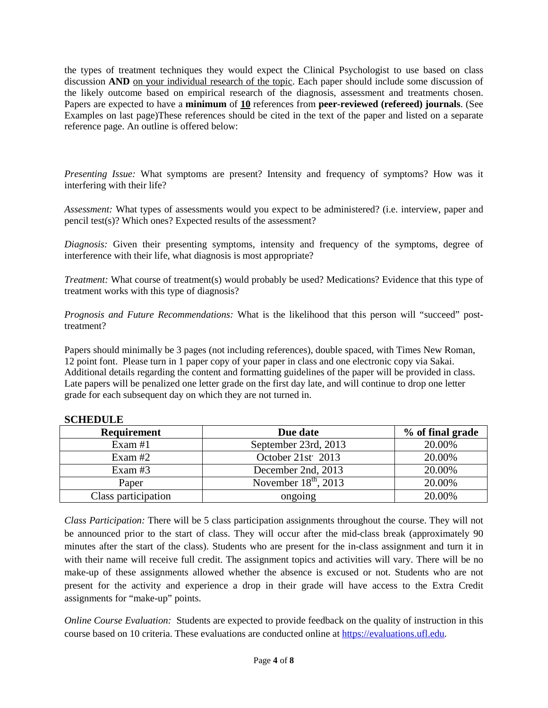the types of treatment techniques they would expect the Clinical Psychologist to use based on class discussion **AND** on your individual research of the topic. Each paper should include some discussion of the likely outcome based on empirical research of the diagnosis, assessment and treatments chosen. Papers are expected to have a **minimum** of **10** references from **peer-reviewed (refereed) journals**. (See Examples on last page)These references should be cited in the text of the paper and listed on a separate reference page. An outline is offered below:

*Presenting Issue:* What symptoms are present? Intensity and frequency of symptoms? How was it interfering with their life?

*Assessment:* What types of assessments would you expect to be administered? (i.e. interview, paper and pencil test(s)? Which ones? Expected results of the assessment?

*Diagnosis:* Given their presenting symptoms, intensity and frequency of the symptoms, degree of interference with their life, what diagnosis is most appropriate?

*Treatment:* What course of treatment(s) would probably be used? Medications? Evidence that this type of treatment works with this type of diagnosis?

*Prognosis and Future Recommendations:* What is the likelihood that this person will "succeed" posttreatment?

Papers should minimally be 3 pages (not including references), double spaced, with Times New Roman, 12 point font. Please turn in 1 paper copy of your paper in class and one electronic copy via Sakai. Additional details regarding the content and formatting guidelines of the paper will be provided in class. Late papers will be penalized one letter grade on the first day late, and will continue to drop one letter grade for each subsequent day on which they are not turned in.

| <b>Requirement</b>  | Due date                       | % of final grade |
|---------------------|--------------------------------|------------------|
| Exam $#1$           | September 23rd, 2013           | 20.00%           |
| Exam $#2$           | October 21st <sup>2</sup> 2013 | 20.00%           |
| Exam $#3$           | December 2nd, 2013             | 20.00%           |
| Paper               | November $18th$ , 2013         | 20.00%           |
| Class participation | ongoing                        | 20.00%           |

## **SCHEDULE**

*Class Participation:* There will be 5 class participation assignments throughout the course. They will not be announced prior to the start of class. They will occur after the mid-class break (approximately 90 minutes after the start of the class). Students who are present for the in-class assignment and turn it in with their name will receive full credit. The assignment topics and activities will vary. There will be no make-up of these assignments allowed whether the absence is excused or not. Students who are not present for the activity and experience a drop in their grade will have access to the Extra Credit assignments for "make-up" points.

*Online Course Evaluation:* Students are expected to provide feedback on the quality of instruction in this course based on 10 criteria. These evaluations are conducted online at [https://evaluations.ufl.edu.](https://evaluations.ufl.edu/)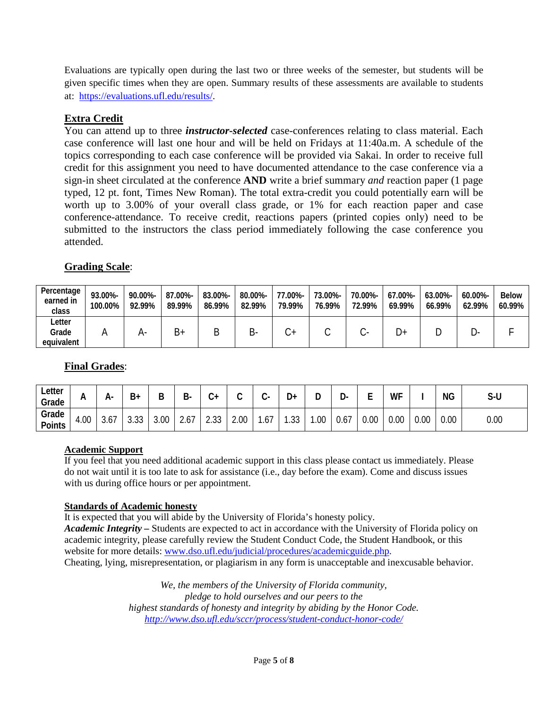Evaluations are typically open during the last two or three weeks of the semester, but students will be given specific times when they are open. Summary results of these assessments are available to students at: [https://evaluations.ufl.edu/results/.](https://evaluations.ufl.edu/results/)

# **Extra Credit**

You can attend up to three *instructor-selected* case-conferences relating to class material. Each case conference will last one hour and will be held on Fridays at 11:40a.m. A schedule of the topics corresponding to each case conference will be provided via Sakai. In order to receive full credit for this assignment you need to have documented attendance to the case conference via a sign-in sheet circulated at the conference **AND** write a brief summary *and* reaction paper (1 page typed, 12 pt. font, Times New Roman). The total extra-credit you could potentially earn will be worth up to 3.00% of your overall class grade, or 1% for each reaction paper and case conference-attendance. To receive credit, reactions papers (printed copies only) need to be submitted to the instructors the class period immediately following the case conference you attended.

# **Grading Scale**:

| Percentage<br>earned in<br>class | 93.00%-<br>100.00% | 90.00%-<br>92.99% | 87.00%-<br>89.99% | 83.00%-<br>86.99% | 80.00%-<br>82.99% | 77.00%-<br>79.99% | 73.00%-<br>76.99% | 70.00%-<br>72.99% | 67.00%-<br>69.99% | 63.00%-<br>66.99% | 60.00%-<br>62.99% | <b>Below</b><br>60.99% |
|----------------------------------|--------------------|-------------------|-------------------|-------------------|-------------------|-------------------|-------------------|-------------------|-------------------|-------------------|-------------------|------------------------|
| ∟etter<br>Grade<br>equivalent    |                    | A                 | $B+$              | Β                 | כ-                |                   |                   |                   | D+                |                   |                   |                        |

# **Final Grades**:

| Letter<br>Grade        | n        | н-                              | B+             | ш                | ם<br>D- | ⌒<br>v+           | ⌒<br>ີ | $\sim$    | D+         |     | ◡    | -                | WF   |      | <b>NG</b> | S-U  |
|------------------------|----------|---------------------------------|----------------|------------------|---------|-------------------|--------|-----------|------------|-----|------|------------------|------|------|-----------|------|
| Grade<br><b>Points</b> | .00<br>– | $\overline{\phantom{a}}$<br>3.O | $\sim$<br>ບ.ບບ | $\Omega$<br>3.UU | Z.O.    | $\cap$<br>ں ں ، ے | 2.00   | , –<br>.6 | ົດຕ<br>.აა | .00 | V.67 | $\Omega$<br>v.vu | 0.00 | 0.00 | 0.00      | 0.00 |

## **Academic Support**

If you feel that you need additional academic support in this class please contact us immediately. Please do not wait until it is too late to ask for assistance (i.e., day before the exam). Come and discuss issues with us during office hours or per appointment.

## **Standards of Academic honesty**

It is expected that you will abide by the University of Florida's honesty policy. *Academic Integrity –* Students are expected to act in accordance with the University of Florida policy on academic integrity, please carefully review the Student Conduct Code, the Student Handbook, or this website for more details: [www.dso.ufl.edu/judicial/procedures/academicguide.php.](http://www.dso.ufl.edu/judicial/procedures/academicguide.php) Cheating, lying, misrepresentation, or plagiarism in any form is unacceptable and inexcusable behavior.

> *We, the members of the University of Florida community, pledge to hold ourselves and our peers to the highest standards of honesty and integrity by abiding by the Honor Code. <http://www.dso.ufl.edu/sccr/process/student-conduct-honor-code/>*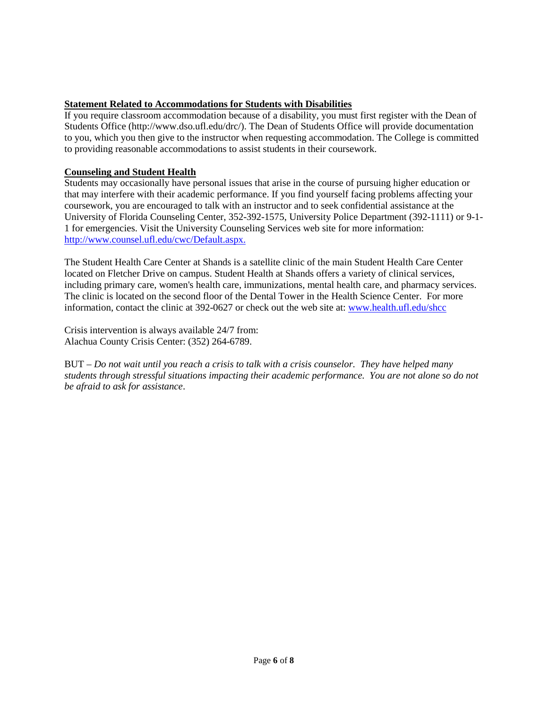## **Statement Related to Accommodations for Students with Disabilities**

If you require classroom accommodation because of a disability, you must first register with the Dean of Students Office (http://www.dso.ufl.edu/drc/). The Dean of Students Office will provide documentation to you, which you then give to the instructor when requesting accommodation. The College is committed to providing reasonable accommodations to assist students in their coursework.

#### **Counseling and Student Health**

Students may occasionally have personal issues that arise in the course of pursuing higher education or that may interfere with their academic performance. If you find yourself facing problems affecting your coursework, you are encouraged to talk with an instructor and to seek confidential assistance at the University of Florida Counseling Center, 352-392-1575, University Police Department (392-1111) or 9-1- 1 for emergencies. Visit the University Counseling Services web site for more information: [http://www.counsel.ufl.edu/c](http://www.counsel.ufl.edu/)wc/Default.aspx.

The Student Health Care Center at Shands is a satellite clinic of the main Student Health Care Center located on Fletcher Drive on campus. Student Health at Shands offers a variety of clinical services, including primary care, women's health care, immunizations, mental health care, and pharmacy services. The clinic is located on the second floor of the Dental Tower in the Health Science Center. For more information, contact the clinic at 392-0627 or check out the web site at: [www.health.ufl.edu/shcc](http://www.health.ufl.edu/shcc)

Crisis intervention is always available 24/7 from: Alachua County Crisis Center: (352) 264-6789.

BUT – *Do not wait until you reach a crisis to talk with a crisis counselor. They have helped many students through stressful situations impacting their academic performance. You are not alone so do not be afraid to ask for assistance*.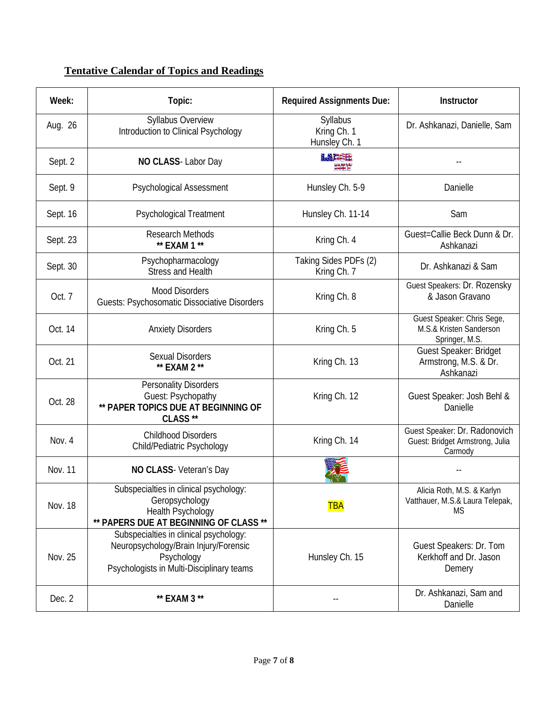# **Tentative Calendar of Topics and Readings**

| Week:    | Topic:                                                                                                                                     | <b>Required Assignments Due:</b>         | Instructor                                                                  |
|----------|--------------------------------------------------------------------------------------------------------------------------------------------|------------------------------------------|-----------------------------------------------------------------------------|
| Aug. 26  | Syllabus Overview<br>Introduction to Clinical Psychology                                                                                   | Syllabus<br>Kring Ch. 1<br>Hunsley Ch. 1 | Dr. Ashkanazi, Danielle, Sam                                                |
| Sept. 2  | NO CLASS-Labor Day                                                                                                                         | <b>MAFEE</b><br>重要者                      |                                                                             |
| Sept. 9  | Psychological Assessment                                                                                                                   | Hunsley Ch. 5-9                          | Danielle                                                                    |
| Sept. 16 | <b>Psychological Treatment</b>                                                                                                             | Hunsley Ch. 11-14                        | Sam                                                                         |
| Sept. 23 | <b>Research Methods</b><br>** EXAM 1 **                                                                                                    | Kring Ch. 4                              | Guest=Callie Beck Dunn & Dr.<br>Ashkanazi                                   |
| Sept. 30 | Psychopharmacology<br><b>Stress and Health</b>                                                                                             | Taking Sides PDFs (2)<br>Kring Ch. 7     | Dr. Ashkanazi & Sam                                                         |
| Oct. 7   | <b>Mood Disorders</b><br>Guests: Psychosomatic Dissociative Disorders                                                                      | Kring Ch. 8                              | Guest Speakers: Dr. Rozensky<br>& Jason Gravano                             |
| Oct. 14  | <b>Anxiety Disorders</b>                                                                                                                   | Kring Ch. 5                              | Guest Speaker: Chris Sege,<br>M.S.& Kristen Sanderson<br>Springer, M.S.     |
| Oct. 21  | <b>Sexual Disorders</b><br>** EXAM 2 **                                                                                                    | Kring Ch. 13                             | Guest Speaker: Bridget<br>Armstrong, M.S. & Dr.<br>Ashkanazi                |
| Oct. 28  | <b>Personality Disorders</b><br>Guest: Psychopathy<br>PAPER TOPICS DUE AT BEGINNING OF<br>CLASS**                                          | Kring Ch. 12                             | Guest Speaker: Josh Behl &<br>Danielle                                      |
| Nov. 4   | <b>Childhood Disorders</b><br>Child/Pediatric Psychology                                                                                   | Kring Ch. 14                             | Guest Speaker: Dr. Radonovich<br>Guest: Bridget Armstrong, Julia<br>Carmody |
| Nov. 11  | NO CLASS- Veteran's Day                                                                                                                    |                                          |                                                                             |
| Nov. 18  | Subspecialties in clinical psychology:<br>Geropsychology<br>Health Psychology<br>** PAPERS DUE AT BEGINNING OF CLASS **                    | <b>TBA</b>                               | Alicia Roth, M.S. & Karlyn<br>Vatthauer, M.S.& Laura Telepak,<br><b>MS</b>  |
| Nov. 25  | Subspecialties in clinical psychology:<br>Neuropsychology/Brain Injury/Forensic<br>Psychology<br>Psychologists in Multi-Disciplinary teams | Hunsley Ch. 15                           | Guest Speakers: Dr. Tom<br>Kerkhoff and Dr. Jason<br>Demery                 |
| Dec. 2   | ** EXAM 3 **                                                                                                                               |                                          | Dr. Ashkanazi, Sam and<br>Danielle                                          |